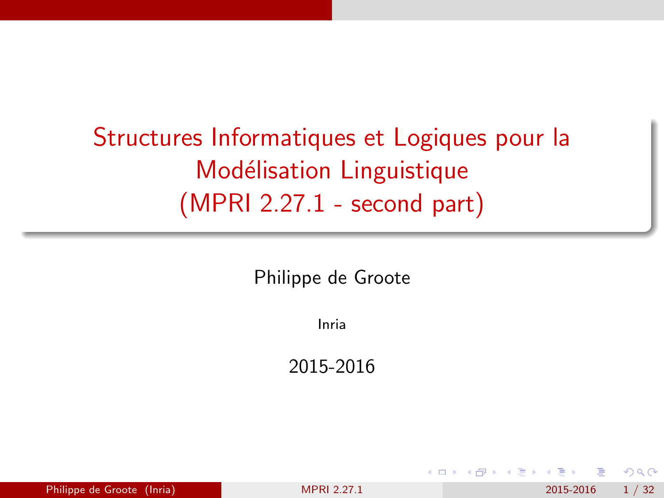# <span id="page-0-0"></span>Structures Informatiques et Logiques pour la Modélisation Linguistique (MPRI 2.27.1 - second part)

Philippe de Groote

Inria

2015-2016

| Philippe de Groote (Inria)<br>2015-2016<br><b>MPRI 2.27.1</b> | 1/32 |
|---------------------------------------------------------------|------|
|---------------------------------------------------------------|------|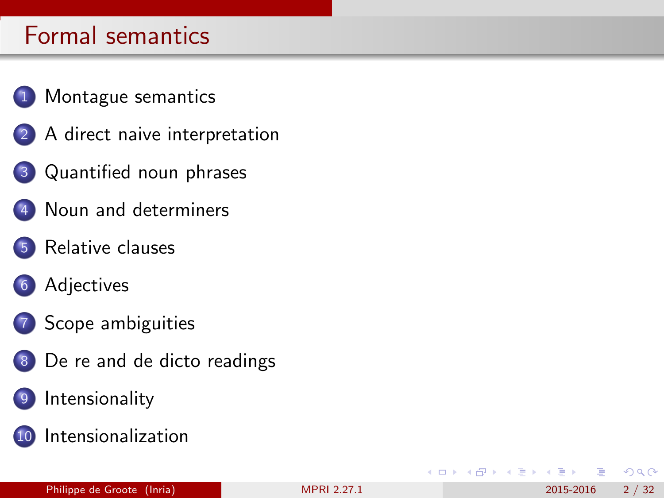- [Montague semantics](#page-2-0)
- 2 [A direct naive interpretation](#page-6-0)
- 3 [Quantified noun phrases](#page-8-0)
- 4 [Noun and determiners](#page-10-0)
	- [Relative clauses](#page-13-0)
- 6 [Adjectives](#page-16-0)
- 7 [Scope ambiguities](#page-21-0)
- 8 [De re and de dicto readings](#page-25-0)
	- **[Intensionality](#page-27-0)**
- 10 [Intensionalization](#page-29-0)

 $QQ$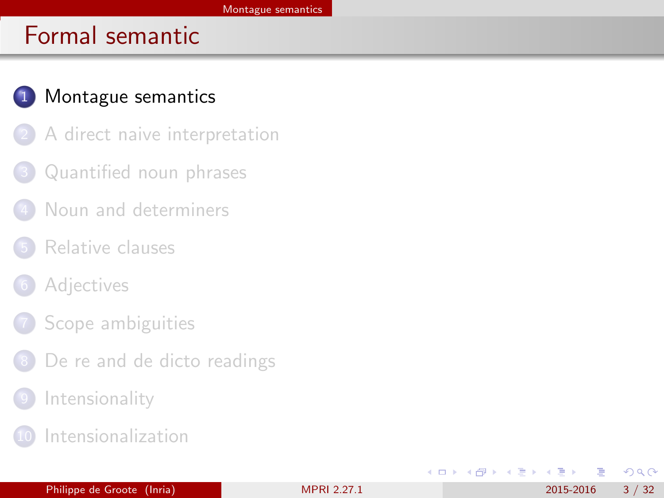## <span id="page-2-0"></span>1 [Montague semantics](#page-2-0)

- [A direct naive interpretation](#page-6-0)
- [Quantified noun phrases](#page-8-0)
- [Noun and determiners](#page-10-0)
- [Relative clauses](#page-13-0)
- **[Adjectives](#page-16-0)**
- [Scope ambiguities](#page-21-0)
- [De re and de dicto readings](#page-25-0)
- **[Intensionality](#page-27-0)**
- **[Intensionalization](#page-29-0)**

 $QQ$ 

化重 网络重

4 0 8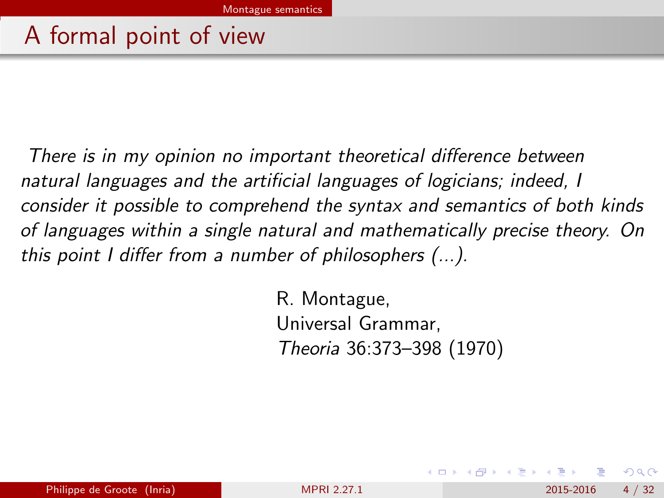# <span id="page-3-0"></span>A formal point of view

There is in my opinion no important theoretical difference between natural languages and the artificial languages of logicians; indeed, I consider it possible to comprehend the syntax and semantics of both kinds of languages within a single natural and mathematically precise theory. On this point I differ from a number of philosophers (...).

> R. Montague, Universal Grammar, Theoria 36:373–398 (1970)

 $200$ 

医单位 医单位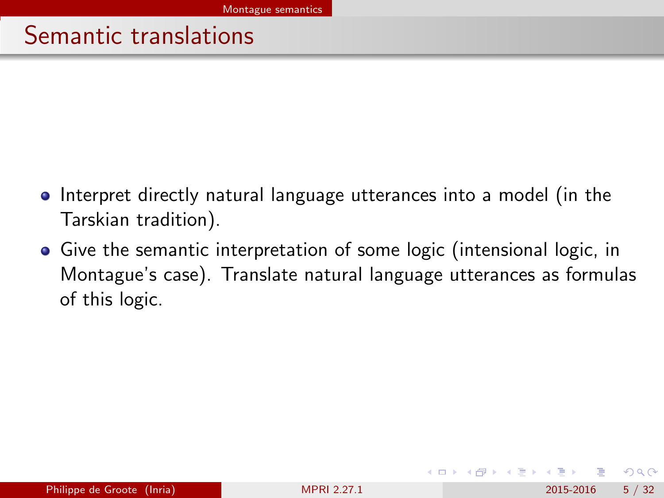# <span id="page-4-0"></span>Semantic translations

- Interpret directly natural language utterances into a model (in the Tarskian tradition).
- Give the semantic interpretation of some logic (intensional logic, in Montague's case). Translate natural language utterances as formulas of this logic.

 $\Omega$ 

化重新润滑脂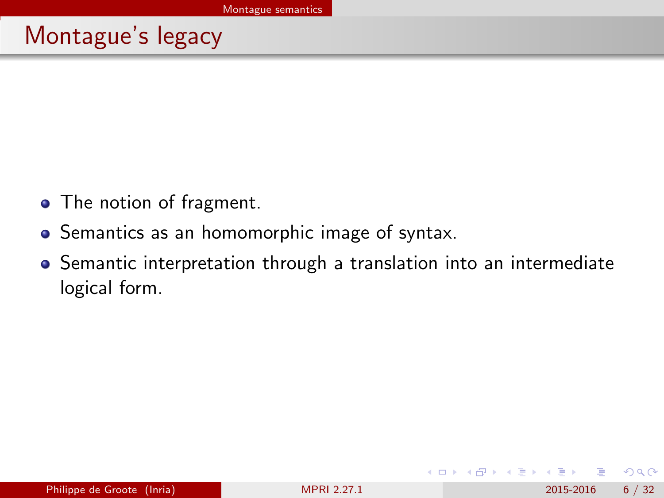# <span id="page-5-0"></span>Montague's legacy

- The notion of fragment.
- **•** Semantics as an homomorphic image of syntax.
- Semantic interpretation through a translation into an intermediate logical form.

4.0.3

 $QQ$ 

ヨメ メヨメ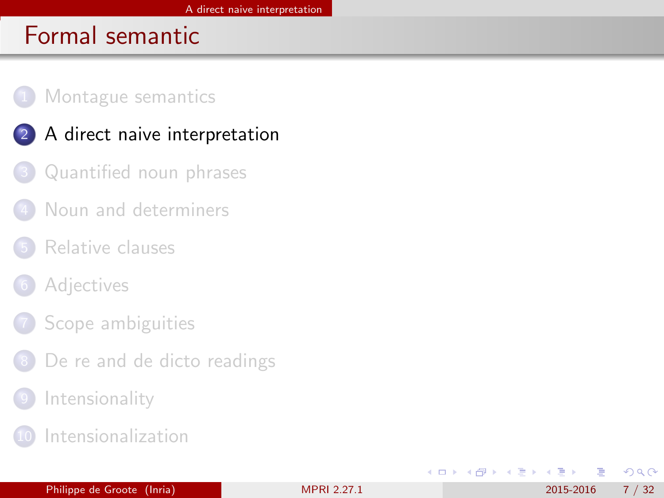### <span id="page-6-0"></span>[Montague semantics](#page-2-0)

- 2 [A direct naive interpretation](#page-6-0)
	- [Quantified noun phrases](#page-8-0)
	- [Noun and determiners](#page-10-0)
- [Relative clauses](#page-13-0)
- **[Adjectives](#page-16-0)**
- [Scope ambiguities](#page-21-0)
- [De re and de dicto readings](#page-25-0)
- **[Intensionality](#page-27-0)**
- **[Intensionalization](#page-29-0)**

 $QQ$ 

医下环菌

4 0 8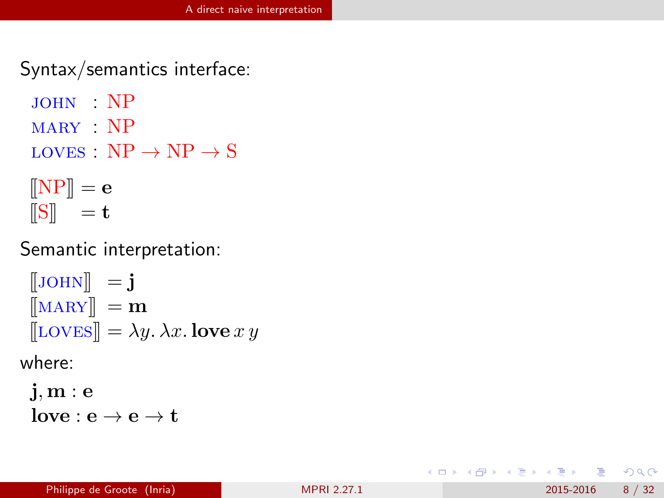<span id="page-7-0"></span>Syntax/semantics interface:

- john : NP
- mary : NP
- LOVES :  $NP \rightarrow NP \rightarrow S$

$$
\begin{bmatrix} \color{red}[\text{NP}] \\ \color{red}[\text{S}] \color{black}\end{bmatrix} = \mathbf{e}
$$

Semantic interpretation:

```
\begin{bmatrix} JOHN\end{bmatrix} = j
\llbracket \text{MAPY} \rrbracket = \mathbf{m}[[\text{LOVES}]] = \lambda y. \lambda x. \text{love } x y
```
where:

j, m : e  $love : e \rightarrow e \rightarrow t$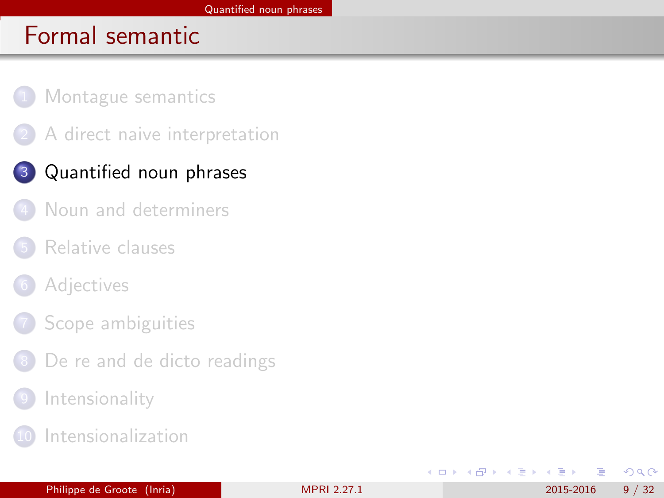- <span id="page-8-0"></span>[Montague semantics](#page-2-0)
- [A direct naive interpretation](#page-6-0)

## 3 [Quantified noun phrases](#page-8-0)

- [Noun and determiners](#page-10-0)
- [Relative clauses](#page-13-0)
- **[Adjectives](#page-16-0)**
- [Scope ambiguities](#page-21-0)
- [De re and de dicto readings](#page-25-0)
- **[Intensionality](#page-27-0)**
- **[Intensionalization](#page-29-0)**

4 0 8

ヨメ イヨ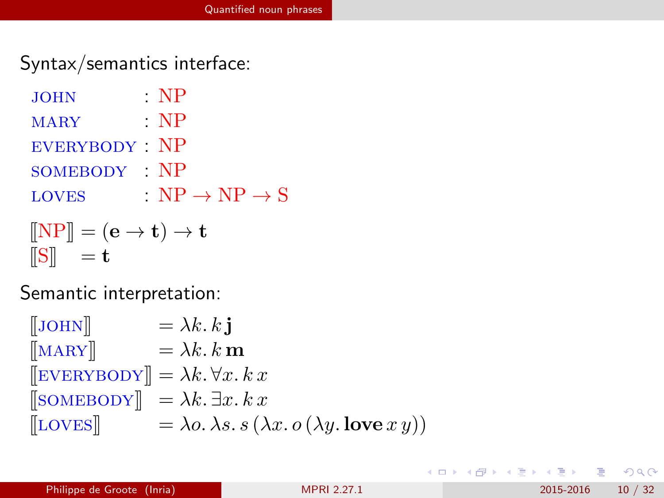<span id="page-9-0"></span>Syntax/semantics interface:

| <b>JOHN</b>                                                                    | · NP                              |
|--------------------------------------------------------------------------------|-----------------------------------|
| <b>MARY</b>                                                                    | $\cdot$ NP                        |
| EVERYBODY NP                                                                   |                                   |
| SOMEBODY NP                                                                    |                                   |
| <b>LOVES</b>                                                                   | $NP \rightarrow NP \rightarrow S$ |
| $\llbracket \text{NP} \rrbracket = (\mathbf{e} \to \mathbf{t}) \to \mathbf{t}$ |                                   |
| $\ \mathbf{S}\  = \mathbf{t}$                                                  |                                   |

Semantic interpretation:

 $\begin{bmatrix} J\text{OHN} \end{bmatrix} = \lambda k. k \mathbf{i}$  $\|\text{MAPY}\| = \lambda k. k \mathbf{m}$  $[\[EVERYBODY]\] = \lambda k. \forall x. k x$  $[\text{SOMEBODY}] = \lambda k. \exists x. k x$  $[\text{LOVES}] = \lambda o. \lambda s. s (\lambda x. o (\lambda y. \text{love } x y))$ 

 $\Omega$ 

イロト イ何 トイヨ トイヨ トー ヨ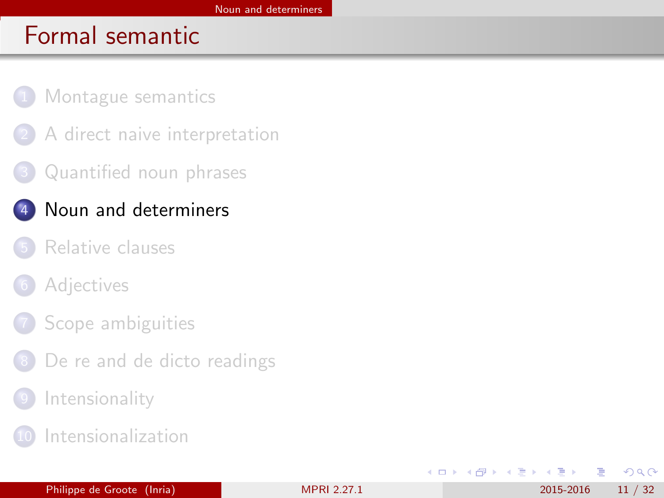- <span id="page-10-0"></span>[Montague semantics](#page-2-0)
- [A direct naive interpretation](#page-6-0)
- [Quantified noun phrases](#page-8-0)

## 4 [Noun and determiners](#page-10-0)

- [Relative clauses](#page-13-0)
- **[Adjectives](#page-16-0)**
- [Scope ambiguities](#page-21-0)
- [De re and de dicto readings](#page-25-0)
- **[Intensionality](#page-27-0)**
- **[Intensionalization](#page-29-0)**

 $QQ$ 

4 로 ) - 4 로

4 0 8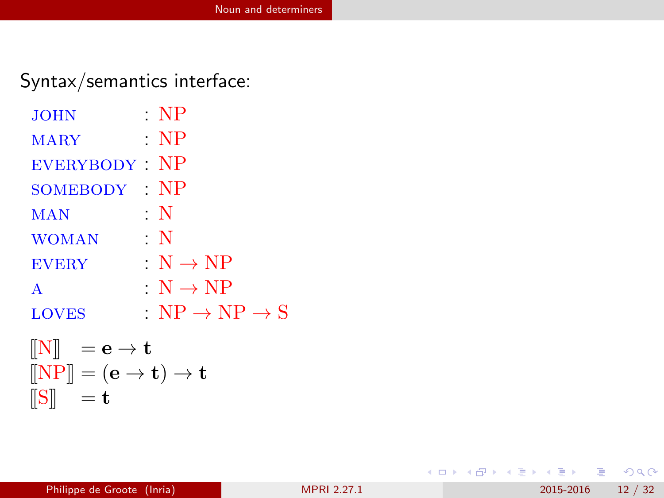## <span id="page-11-0"></span>Syntax/semantics interface:

| <b>JOHN</b>      | $\cdot$ NP                          |
|------------------|-------------------------------------|
| <b>MARY</b>      | $\cdot$ NP                          |
| <b>EVERYBODY</b> | $\cdot$ NP                          |
| SOMEBODY         | $\cdot$ NP                          |
| MAN              | : $\bf N$                           |
| <b>WOMAN</b>     | $\cdot$ N                           |
| <b>EVERY</b>     | $N \rightarrow NP$                  |
| A                | $N \rightarrow NP$                  |
| <b>LOVES</b>     | : $NP \rightarrow NP \rightarrow S$ |
|                  |                                     |

$$
\begin{array}{ll} \llbracket N \rrbracket & = \mathbf{e} \rightarrow \mathbf{t} \\ \llbracket N \mathrm{P} \rrbracket & = (\mathbf{e} \rightarrow \mathbf{t}) \rightarrow \mathbf{t} \\ \llbracket S \rrbracket & = \mathbf{t} \end{array}
$$

 $-990$ 

K ロ ▶ K 御 ▶ K 君 ▶ K 君 ▶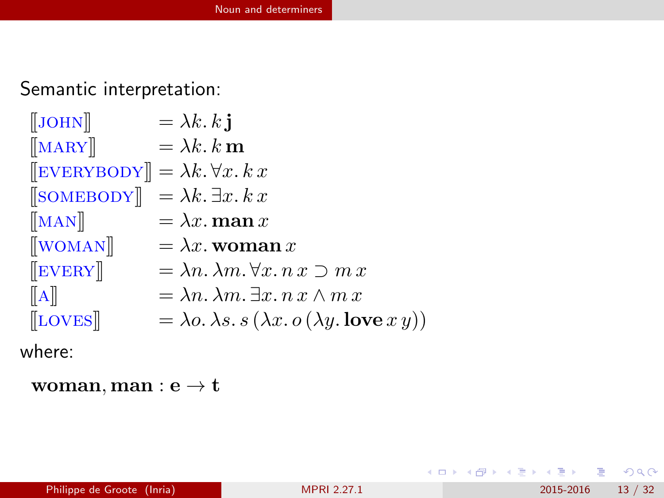<span id="page-12-0"></span>Semantic interpretation:

 $\begin{bmatrix} J\text{OHN} \end{bmatrix}$  =  $\lambda k. k \mathbf{i}$  $[\text{MAPY}]$  =  $\lambda k. k \mathbf{m}$  $[\[EVERYBODY]\] = \lambda k. \forall x. k x$  $[\text{SOMEBODY}] = \lambda k. \exists x. k x$  $[\text{MAN}]$  =  $\lambda x.$  man x  $\llbracket$ WOMAN $\rrbracket = \lambda x$ . woman x  $\llbracket \text{EVERY} \rrbracket = \lambda n. \lambda m. \forall x. n x \supset m x$  $\llbracket A \rrbracket = \lambda n \cdot \lambda m \cdot \exists x \cdot n \cdot x \wedge m \cdot x$  $\begin{array}{ll}\n\text{[LOVES]} \quad & = \lambda o. \, \lambda s. \, s \, (\lambda x. \, o \, (\lambda y. \, \text{love } x \, y))\n\end{array}$ 

where:

woman, man :  $e \rightarrow t$ 

KEL KALEYKEN E YAG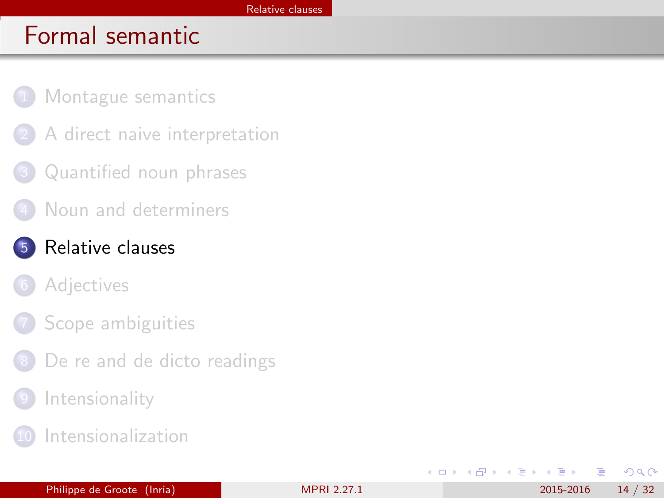- <span id="page-13-0"></span>[Montague semantics](#page-2-0)
- [A direct naive interpretation](#page-6-0)
- [Quantified noun phrases](#page-8-0)
- [Noun and determiners](#page-10-0)
- 5 [Relative clauses](#page-13-0)
	- **[Adjectives](#page-16-0)**
	- [Scope ambiguities](#page-21-0)
	- [De re and de dicto readings](#page-25-0)
	- **[Intensionality](#page-27-0)**
	- **[Intensionalization](#page-29-0)**

4 0 8

 $\Omega$ 

 $\equiv$ 

∢ ∃ ⊁ ⊣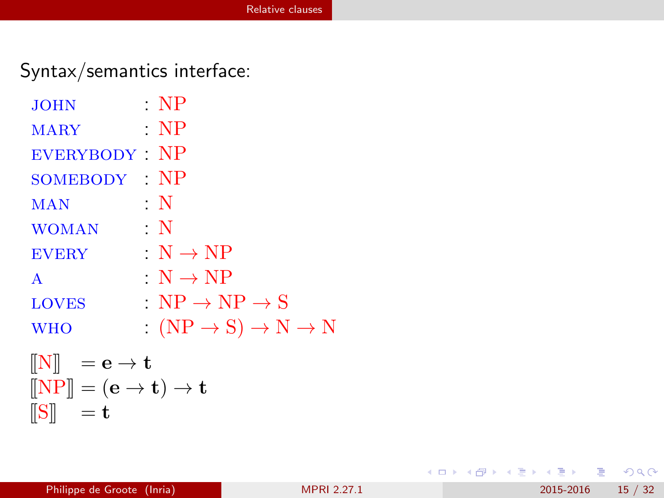## <span id="page-14-0"></span>Syntax/semantics interface:

| <b>JOHN</b>                                                                    | $\cdot$ NP                                         |
|--------------------------------------------------------------------------------|----------------------------------------------------|
| <b>MARY</b>                                                                    | $\cdot$ NP                                         |
| EVERYBODY NP                                                                   |                                                    |
| SOMEBODY NP                                                                    |                                                    |
| MAN                                                                            | $\cdot$ N                                          |
| <b>WOMAN</b>                                                                   | $\cdot$ N                                          |
| <b>EVERY</b>                                                                   | $N \rightarrow NP$                                 |
| $\mathbf{A}$                                                                   | $N \rightarrow NP$                                 |
| <b>LOVES</b>                                                                   | $N_{\rm P} \rightarrow NP \rightarrow SP$          |
| <b>WHO</b>                                                                     | $: (NP \rightarrow S) \rightarrow N \rightarrow N$ |
| $\begin{bmatrix} \mathbf{N} \end{bmatrix}$ = e $\rightarrow \mathbf{t}$        |                                                    |
| $\llbracket \text{NP} \rrbracket = (\mathbf{e} \to \mathbf{t}) \to \mathbf{t}$ |                                                    |

 $\|\mathbf{S}\| = \mathbf{t}$ 

K ロ ▶ K 個 ▶ K 로 ▶ K 로 ▶ - 로 - K 9 Q @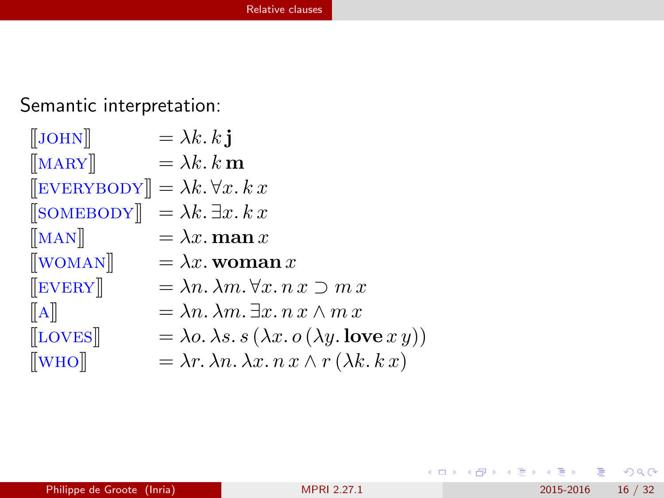<span id="page-15-0"></span>Semantic interpretation:

| $\left[\text{JOHN}\right]$                                      | $= \lambda k. k$ j                                                                     |
|-----------------------------------------------------------------|----------------------------------------------------------------------------------------|
| $\left[\text{MARY}\right]$                                      | $= \lambda k \cdot k \mathbf{m}$                                                       |
| $[\[EVERYBODY]\] = \lambda k. \forall x. k x$                   |                                                                                        |
| $\left[\text{SOMEBODY}\right] = \lambda k \cdot \exists x. k x$ |                                                                                        |
| $\left[\text{MAN}\right]$                                       | $= \lambda x.$ man $x$                                                                 |
| $\left[\begin{matrix}\text{WOMAN}\end{matrix}\right]$           | $= \lambda x.$ woman x                                                                 |
| $\left[\begin{matrix}$ EVERY $\end{matrix}\right]$              | $= \lambda n. \lambda m. \forall x. n x \supset m x$                                   |
| $\ A\ $                                                         | $= \lambda n. \lambda m. \exists x. n x \wedge m x$                                    |
| $[\text{LOVES}]$                                                | $= \lambda o. \lambda s. s (\lambda x. o (\lambda y. \mathbf{love} x y))$              |
| $\left[\text{WHO}\right]$                                       | $= \lambda r \cdot \lambda n \cdot \lambda x \cdot n x \wedge r (\lambda k \cdot k x)$ |

 $ORO$ 

メロト メ都 トメ ヨ トメ ヨト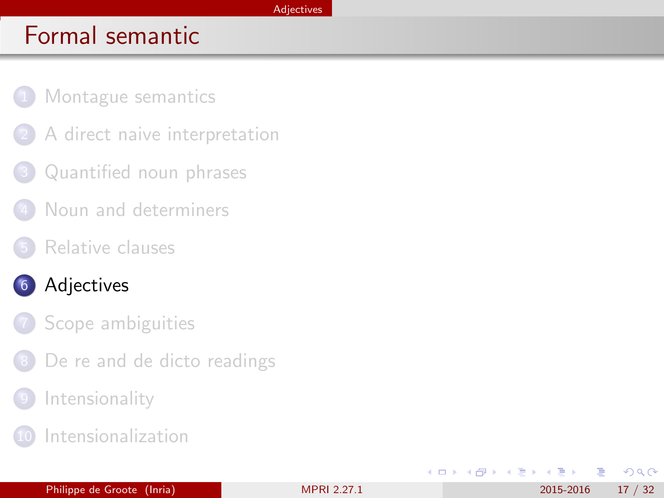#### [Adjectives](#page-16-0)

# <span id="page-16-0"></span>Formal semantic

- [Montague semantics](#page-2-0)
- [A direct naive interpretation](#page-6-0)
- [Quantified noun phrases](#page-8-0)
- [Noun and determiners](#page-10-0)
- [Relative clauses](#page-13-0)
- 6 [Adjectives](#page-16-0)
	- [Scope ambiguities](#page-21-0)
	- [De re and de dicto readings](#page-25-0)
	- **[Intensionality](#page-27-0)**
	- **[Intensionalization](#page-29-0)**

4 0 8

∢ ∃ ⊁ ⊣ ≔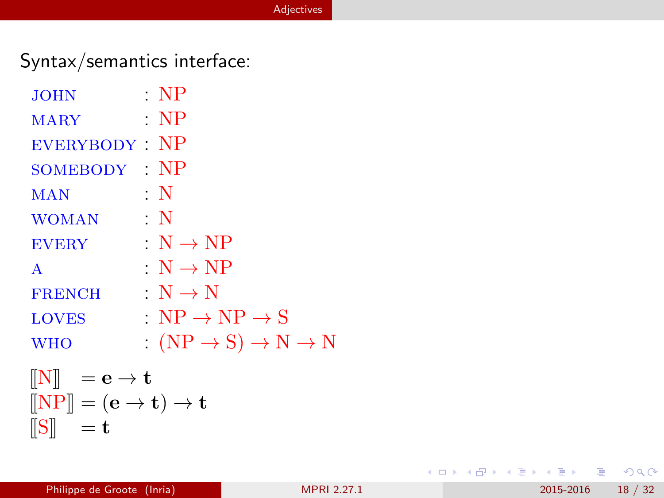## <span id="page-17-0"></span>Syntax/semantics interface:

| <b>JOHN</b>   | $\cdot$ NP                                       |
|---------------|--------------------------------------------------|
| <b>MARY</b>   | $\cdot$ NP                                       |
| EVERYBODY NP  |                                                  |
| SOMEBODY NP   |                                                  |
| <b>MAN</b>    | $\cdot$ N                                        |
| <b>WOMAN</b>  | $\cdot$ N                                        |
| <b>EVERY</b>  | $N \rightarrow NP$                               |
| A             | $N \rightarrow NP$                               |
| <b>FRENCH</b> | $\therefore N \rightarrow N$                     |
| <b>LOVES</b>  | $N_{\rm P} \rightarrow NP \rightarrow SP$        |
| <b>WHO</b>    | $(NP \rightarrow S) \rightarrow N \rightarrow N$ |
|               |                                                  |

$$
\begin{array}{ll} \hspace{0.2cm} \text{[N]} & = \mathbf{e} \rightarrow \mathbf{t} \\ \hspace{0.2cm} \text{[NP]} & = (\mathbf{e} \rightarrow \mathbf{t}) \rightarrow \mathbf{t} \\ \hspace{0.2cm} \text{[S]} & = \mathbf{t} \end{array}
$$

イロト イ母 トイミト イミト ニヨー りんぴ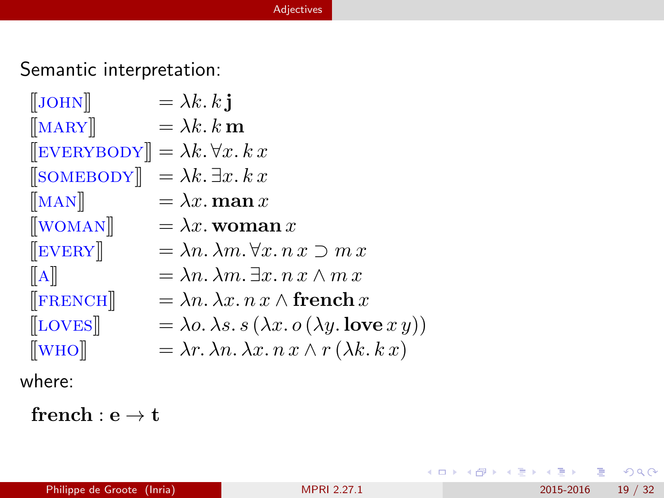#### [Adjectives](#page-18-0)

## <span id="page-18-0"></span>Semantic interpretation:

| $\left[\text{JOHN}\right]$                                  | $= \lambda k. k$ j                                                                     |
|-------------------------------------------------------------|----------------------------------------------------------------------------------------|
| $\left[\n\left[\text{MARY}\right]\n\right]$                 | $= \lambda k \cdot k \mathbf{m}$                                                       |
| $\left[\text{EVERYBODY}\right] = \lambda k. \forall x. k x$ |                                                                                        |
| $\left\ $ SOMEBODY $\right\ $                               | $= \lambda k. \exists x. k x$                                                          |
| $\left[\text{MAN}\right]$                                   | $=\lambda x$ . man x                                                                   |
| $\left[\text{WOMAN}\right]$                                 | $= \lambda x.$ woman x                                                                 |
| $\left[\begin{matrix}$ EVERY $\end{matrix}\right]$          | $=\lambda n.\lambda m.\forall x. n x \supset m x$                                      |
| $\ A\ $                                                     | $= \lambda n. \lambda m. \exists x. n x \wedge m x$                                    |
| $[$ FRENCH $]$                                              | $= \lambda n. \lambda x. n x \wedge \textbf{french } x$                                |
| $\left[\text{LOVES}\right]$                                 | $= \lambda o. \lambda s. s (\lambda x. o (\lambda y. \mathbf{love} x y))$              |
| $\left[\text{WHO}\right]$                                   | $= \lambda r \cdot \lambda n \cdot \lambda x \cdot n x \wedge r (\lambda k \cdot k x)$ |
|                                                             |                                                                                        |

where:

 ${\bf front}: {\bf e} \rightarrow {\bf t}$ 

 $2990$ 

イロト イ部 トメ ヨ トメ ヨト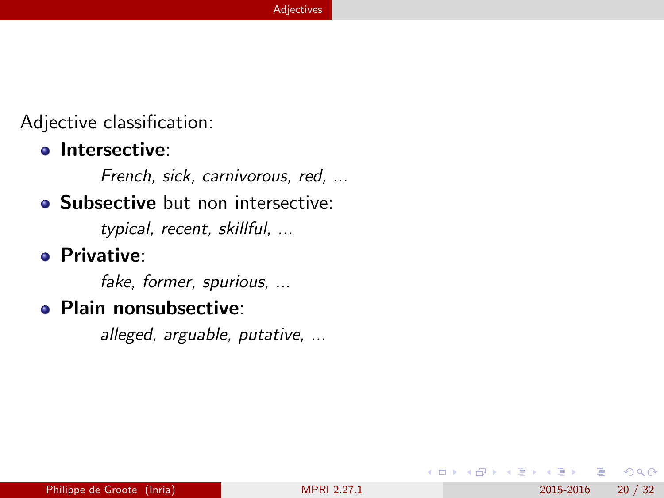<span id="page-19-0"></span>Adjective classification:

### **o** Intersective:

French, sick, carnivorous, red, ...

## **Subsective** but non intersective:

typical, recent, skillful, ...

### **• Privative:**

fake, former, spurious, ...

## **• Plain nonsubsective:**

alleged, arguable, putative, ...

4 0 8

4. B. K. 4.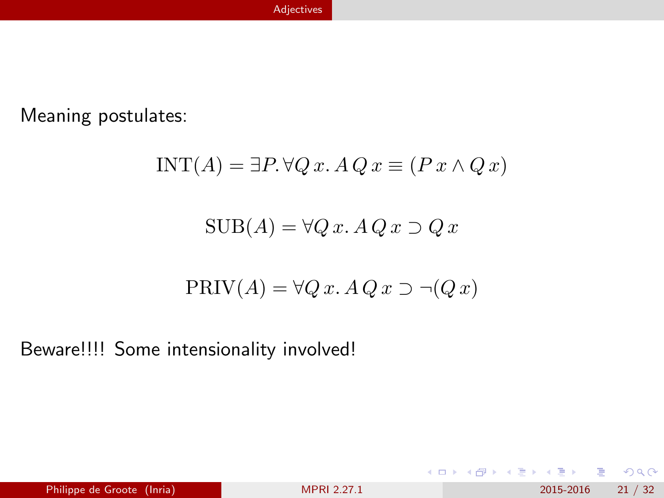<span id="page-20-0"></span>Meaning postulates:

$$
INT(A) = \exists P. \,\forall Q \,x. \,A \,Q \,x \equiv (P \,x \wedge Q \,x)
$$

$$
SUB(A) = \forall Q \, x. \, A \, Q \, x \supset Q \, x
$$

$$
PRIV(A) = \forall Q \, x. \, A \, Q \, x \supset \neg (Q \, x)
$$

Beware!!!! Some intensionality involved!

イロト イ部 トメ ヨ トメ ヨト

重

 $2990$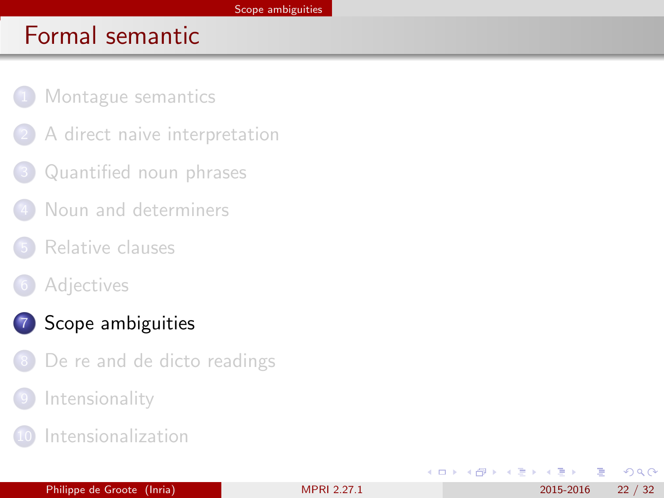- <span id="page-21-0"></span>[Montague semantics](#page-2-0)
- [A direct naive interpretation](#page-6-0)
- [Quantified noun phrases](#page-8-0)
- [Noun and determiners](#page-10-0)
- [Relative clauses](#page-13-0)
- **[Adjectives](#page-16-0)**

## 7 [Scope ambiguities](#page-21-0)

- [De re and de dicto readings](#page-25-0)
- **[Intensionality](#page-27-0)**
- **[Intensionalization](#page-29-0)**

4 0 8

E K K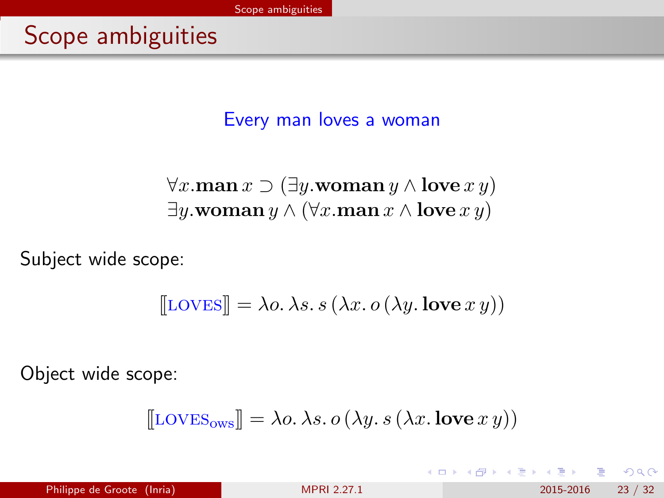Every man loves a woman

<span id="page-22-0"></span> $\forall x.\text{man } x \supset (\exists y.\text{woman } y \land \text{love } x y)$ ∃y.woman y ∧ ( $\forall x$ .man  $x \land$  love  $xy$ )

Subject wide scope:

$$
[\text{LOVES}] = \lambda o. \lambda s. s (\lambda x. o (\lambda y. \text{love } x y))
$$

Object wide scope:

$$
[\![\text{LOVES}_{\text{ows}}]\!] = \lambda o. \, \lambda s. \, o \, (\lambda y. \, s \, (\lambda x. \, \text{love } x \, y))
$$

4 日下

Philippe de Groote (Inria) [MPRI 2.27.1](#page-0-0) 2015-2016 23 / 32

 $QQ$ 

化重新润滑脂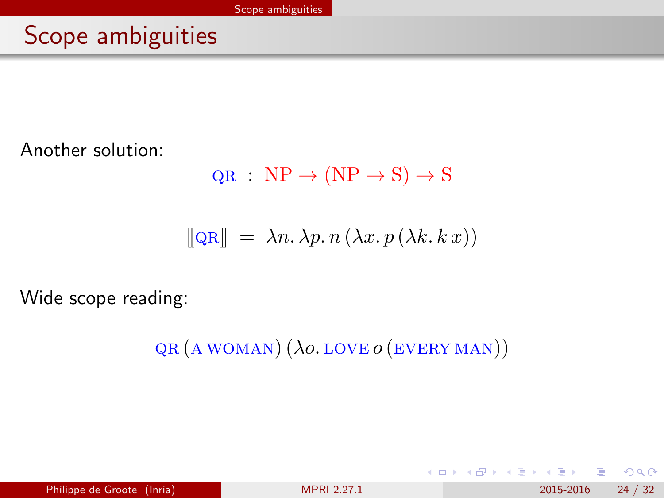# <span id="page-23-0"></span>Scope ambiguities

Another solution:

 $QR : NP \rightarrow (NP \rightarrow S) \rightarrow S$ 

$$
[[QR]] = \lambda n. \lambda p. n (\lambda x. p (\lambda k. k x))
$$

Wide scope reading:

 $QR(A WOMAN) (\lambda o. LOVE O (EVERY MAN))$ 

4 0 8

Philippe de Groote (Inria) 2015-2016 24 / 32

 $QQ$ 

- 4 重 8 - 4 重 8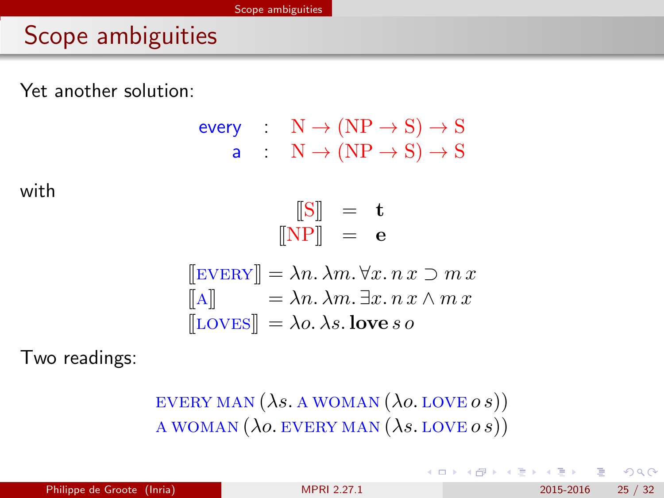# <span id="page-24-0"></span>Scope ambiguities

Yet another solution:

every: 
$$
N \rightarrow (NP \rightarrow S) \rightarrow S
$$
  
\na:  $N \rightarrow (NP \rightarrow S) \rightarrow S$   
\n $[[S]] = t$   
\n $[[NP]] = e$   
\n $[[EVERY]] = \lambda n. \lambda m. \forall x. n x \supset m x$   
\n $[[A]] = \lambda n. \lambda m. \exists x. n x \wedge m x$   
\n $[[LOVES]] = \lambda o. \lambda s. love so$ 

with

Two readings:

EVERY MAN  $(\lambda s. A WOMAN (\lambda o. LOVE \, o s))$ A WOMAN  $(\lambda o.$  EVERY MAN  $(\lambda s.$  LOVE  $o s)$ )

 $\Omega$ 

イロト イ母 トイヨ トイヨト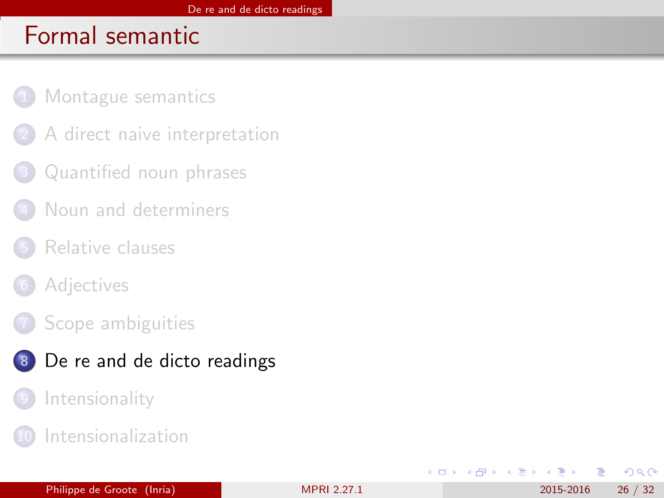- <span id="page-25-0"></span>[Montague semantics](#page-2-0)
- [A direct naive interpretation](#page-6-0)
- [Quantified noun phrases](#page-8-0)
- [Noun and determiners](#page-10-0)
- [Relative clauses](#page-13-0)
- **[Adjectives](#page-16-0)**
- [Scope ambiguities](#page-21-0)
- 8 [De re and de dicto readings](#page-25-0)
	- **[Intensionality](#page-27-0)**
	- **[Intensionalization](#page-29-0)**

4 0 8

E F.K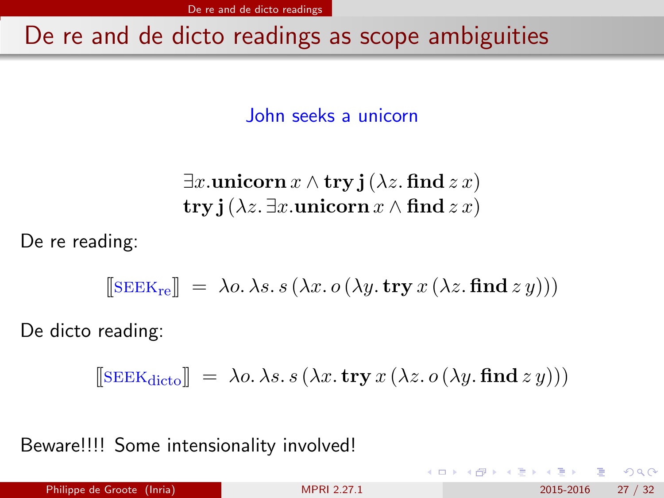[De re and de dicto readings](#page-26-0)

## <span id="page-26-0"></span>De re and de dicto readings as scope ambiguities

John seeks a unicorn

 $\exists x.\text{uniform } x \wedge \text{try } \mathbf{j}(\lambda z.\text{find } z x)$ try j( $\lambda z$ . ∃x.unicorn  $x \wedge$  find  $z x$ )

De re reading:

$$
[\![\text{SEEK}_\text{re}]\!] \ = \ \lambda o. \ \lambda s. \ s \ (\lambda x. \ o \ (\lambda y. \ \text{try} \ x \ (\lambda z. \ \text{find} \ z \ y)))
$$

De dicto reading:

$$
\llbracket \text{SEEK}_{\text{dicto}} \rrbracket = \lambda o. \lambda s. s \left( \lambda x. \text{try } x \left( \lambda z. o \left( \lambda y. \text{find } z y \right) \right) \right)
$$

Beware!!!! Some intensionality involved!

 $200$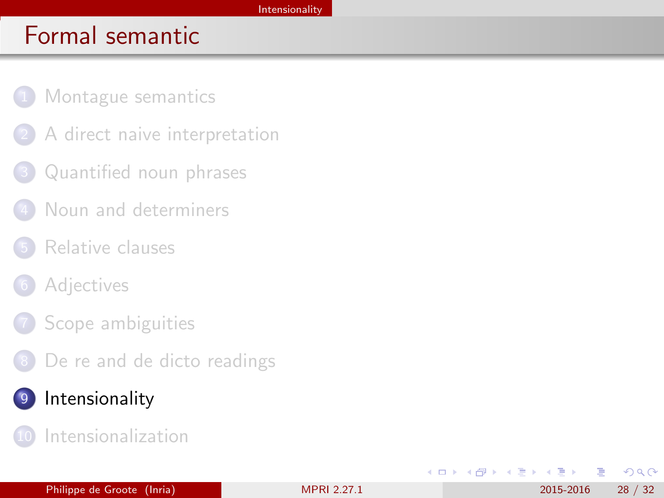- <span id="page-27-0"></span>[Montague semantics](#page-2-0)
- [A direct naive interpretation](#page-6-0)
- [Quantified noun phrases](#page-8-0)
- [Noun and determiners](#page-10-0)
- [Relative clauses](#page-13-0)
- **[Adjectives](#page-16-0)**
- [Scope ambiguities](#page-21-0)
- [De re and de dicto readings](#page-25-0)
- 9 [Intensionality](#page-27-0)
	- **[Intensionalization](#page-29-0)**

4 0 8

E F.K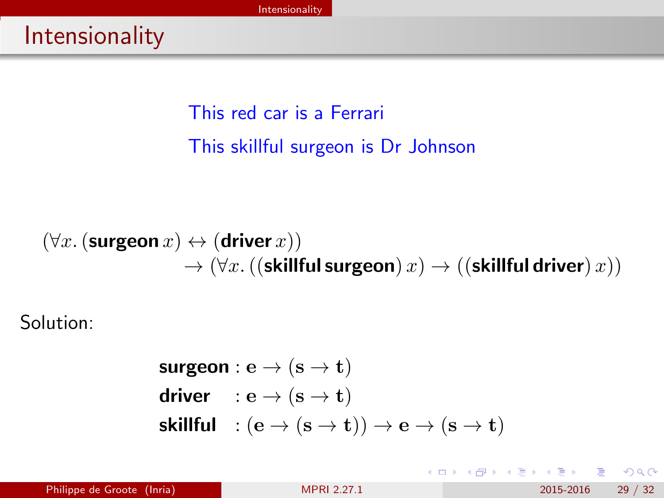<span id="page-28-0"></span>This red car is a Ferrari This skillful surgeon is Dr Johnson

$$
\begin{array}{c}\left(\forall x. \left(\text{surgeon}\ x\right)\leftrightarrow\left(\text{driver}\ x\right)\right)\\ \to\left(\forall x. \left(\left(\text{skillful}\ \text{surgeon}\right)x\right)\to\left(\left(\text{skillful}\ \text{driver}\right)x\right)\right)\end{array}
$$

Solution:

$$
suggestion: e \rightarrow (s \rightarrow t)
$$
\n
$$
driver : e \rightarrow (s \rightarrow t)
$$
\n
$$
skillful : (e \rightarrow (s \rightarrow t)) \rightarrow e \rightarrow (s \rightarrow t)
$$

Philippe de Groote (Inria) 2015-2016 29 / 32

÷

④重き ④重

**← ロ ▶ → イ 同** 

 $\sim$ 

 $299$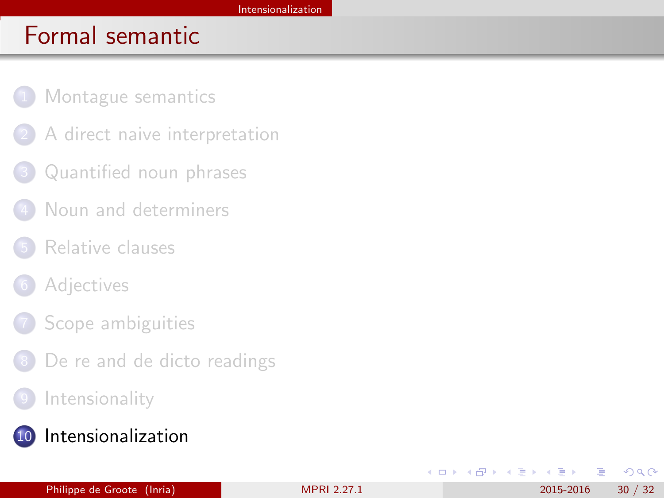- <span id="page-29-0"></span>[Montague semantics](#page-2-0)
- [A direct naive interpretation](#page-6-0)
- [Quantified noun phrases](#page-8-0)
- [Noun and determiners](#page-10-0)
- [Relative clauses](#page-13-0)
- **[Adjectives](#page-16-0)**
- [Scope ambiguities](#page-21-0)
- [De re and de dicto readings](#page-25-0)
- **[Intensionality](#page-27-0)**
- 10 [Intensionalization](#page-29-0)

4 0 8

∢ ∃ ⊁ ⊣ ≔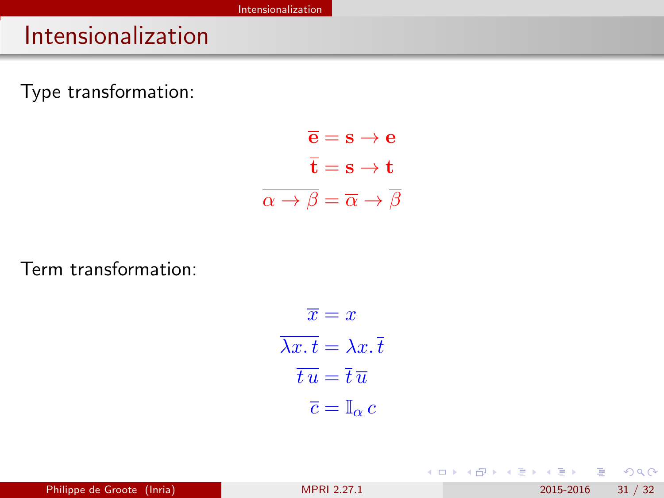# <span id="page-30-0"></span>Intensionalization

Type transformation:

$$
\overline{e} = s \rightarrow e
$$

$$
\overline{t} = s \rightarrow t
$$

$$
\overline{\alpha \rightarrow \beta} = \overline{\alpha} \rightarrow \overline{\beta}
$$

Term transformation:

$$
\overline{x} = x
$$

$$
\overline{\lambda x. t} = \lambda x. \overline{t}
$$

$$
\overline{t u} = \overline{t} \overline{u}
$$

$$
\overline{c} = \mathbb{I}_{\alpha} c
$$

 $QQ$ 

イロト イ部 トメ ヨ トメ ヨト